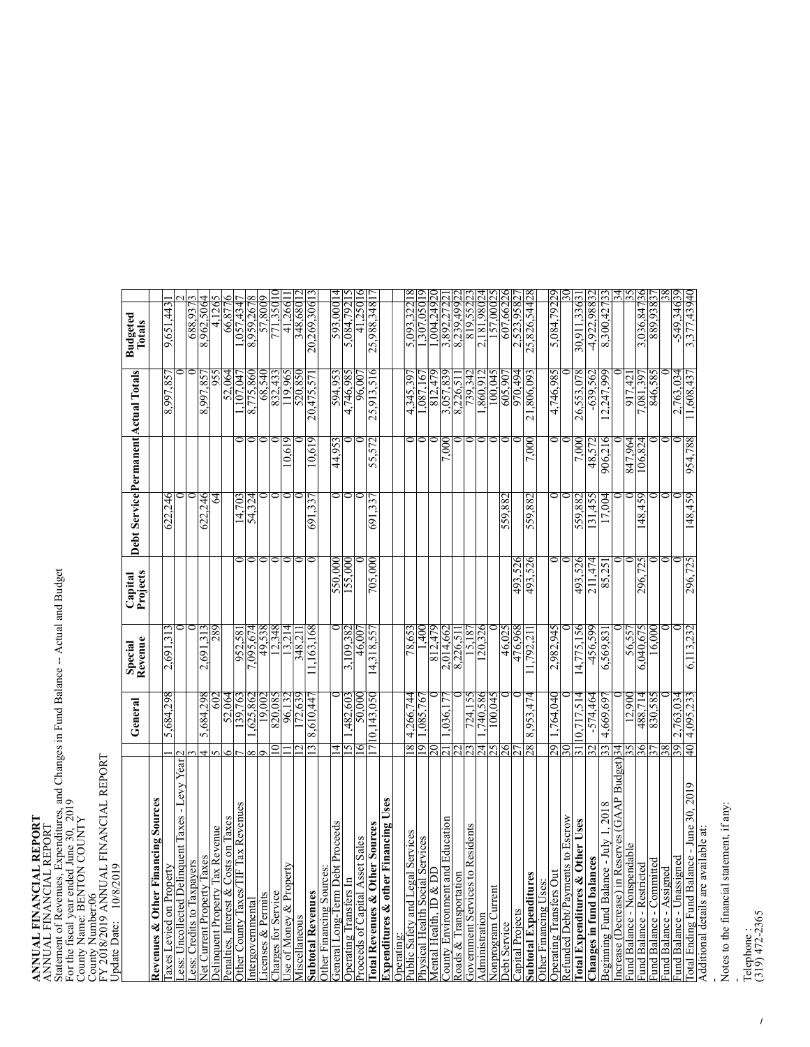## $\begin{array}{ll}\n\textbf{ANUAL}\n\textbf{ANUAL}\n\end{array}$ **FINANCIAL**<br>FINANCIAL<br>C **REPORT**<br>REPORT ANNUAL FIN<br>Statement of R<br>E---4-- 4---1--E S CIAL<br>nes.]<br>1 REPO<br>Xpend<br>T E. Statement of Revenues, Expenditures, and Changes in Fund Balance -- Actual and Budget For the fiscal year ended June 30, 2019<br>County Name: BENTON COUNTY<br>County Number:06 ENTON COUNTY<br>06<br>NATIAI TEALACH

| County Number:06<br>FY 2018/2019 ANNUAL FINANCIAL REPORT<br>Update Date: 10/8/2019 |                 |                    |                         |                     |         |         |                                      |                                 |                |
|------------------------------------------------------------------------------------|-----------------|--------------------|-------------------------|---------------------|---------|---------|--------------------------------------|---------------------------------|----------------|
|                                                                                    |                 | General            | Special<br>Revenue      | Projects<br>Capital |         |         | Debt Service Permanent Actual Totals | <b>Budgeted</b><br>Totals       |                |
| Revenues & Other Financing Sources                                                 |                 |                    |                         |                     |         |         |                                      |                                 |                |
| Taxes Levied on Property                                                           |                 | 5,684,298          | 2,691,313               |                     | 622,246 |         | 8,997,85                             | 9,651,443                       |                |
| Less: Uncollected Delinquent Taxes - Levy Year                                     |                 |                    |                         |                     |         |         |                                      |                                 |                |
| Less: Credits to Taxpayers                                                         |                 |                    |                         |                     |         |         |                                      | 688,937                         |                |
| Net Current Property Taxes                                                         |                 | 5,684,298          | 2,691,313               |                     | 622,246 |         | 8,997,85                             | 8,962,506                       |                |
| Delinquent Property Tax Revenue                                                    |                 | 602                | 687                     |                     | 64      |         |                                      | 4,126                           |                |
| Penalties, Interest & Costs on Taxes                                               |                 | 52,064             |                         |                     |         |         | 52,064                               | 66,877                          |                |
| Other County Taxes/TIF Tax Revenues                                                |                 | .39,763            | 952,581                 |                     | 14,703  |         | $\overline{07,04}$                   | <b>647,734,</b>                 |                |
| Intergovernmental                                                                  |                 | 625,862            | 7,095,674               |                     | 54,324  |         | 775,860<br>∞                         | 8,959,267                       |                |
| Licenses & Permits                                                                 |                 | 19,002             | 49,538                  |                     |         |         | 68,540                               | 57,8009                         |                |
| Charges for Service                                                                |                 | 820,085            | $\frac{12,348}{13,214}$ |                     |         |         | 832,433<br>119,965                   | 771,350 10                      |                |
| Use of Money & Property                                                            |                 |                    |                         |                     |         | 10.619  |                                      | 41,266                          |                |
| Miscellaneous                                                                      |                 | 172,639            | 348.21                  |                     |         |         | 520.850                              | 348,68012                       |                |
| <b>Subtotal Revenues</b>                                                           |                 | 8,610,447          | 11,163,168              |                     | 691,33  | 10,619  | 20,475,57                            | 20,269,30613                    |                |
| Other Financing Sources:                                                           |                 |                    |                         |                     |         |         |                                      |                                 |                |
| General Long-Term Debt Proceeds                                                    | 4               |                    |                         | 550,000             |         | 44,953  | 594.95                               | 262,00014                       |                |
| Operating Transfers In                                                             | 5               | ,482,603           | 3,109,382               | 155,000             |         |         | 586'972'                             | 264.792                         |                |
| Proceeds of Capital Asset Sales                                                    |                 | 50,000             | 46,00                   |                     |         |         | 96.00                                | 41.250 16                       |                |
| <b>Total Revenues &amp; Other Sources</b>                                          |                 | 710,143,050        | 14,318,557              | 705,000             | 691,337 | 55,572  | 25,913,516                           | 25,988,348 17                   |                |
| <b>Expenditures &amp; other Financing Uses</b>                                     |                 |                    |                         |                     |         |         |                                      |                                 |                |
| Operating:                                                                         |                 |                    |                         |                     |         |         |                                      |                                 |                |
| Public Safety and Legal Services                                                   | 8               | 4,266,744          | 78,653                  |                     |         |         | 4,345,39                             | 5,093,322                       |                |
| Physical Health Social Services                                                    | ๑               | .085,767           | 1,400                   |                     |         |         | .91.780.                             | 61050'20£                       |                |
| Mental Health, ID & DD                                                             |                 |                    | 812,479                 |                     |         |         | 812,479                              | 02672.49                        |                |
| County Environment and Education                                                   |                 | .036,17            | 2,014,662               |                     |         | 7.000   | 3,057,839                            | 3,892,272                       |                |
| Roads & Transportation                                                             |                 |                    | 8,226,51                |                     |         |         | 8,226,51                             | 8,239,499                       |                |
| Government Services to Residents                                                   |                 | 724,155            | 15,187                  |                     |         |         | 739,34.                              | 819,552                         |                |
| Administration                                                                     | 4               | ,740,586           | 120,326                 |                     |         |         | ,860,91                              | 2,181,98024                     |                |
| Nonprogram Current                                                                 | ని              | 100,045            |                         |                     |         |         | 100,04                               | 157,000                         |                |
| Debt Service                                                                       | న               |                    | 46,025                  |                     | 559,882 |         | 605,907                              | 607,66226                       |                |
| Capital Projects                                                                   |                 |                    | 476,968                 | 493,526             |         |         | 970,494                              | 2,523,958                       |                |
| <b>Subtotal Expenditures</b>                                                       | 28              | 8,953,474          | .792,21                 | 493,526             | 559,882 | 7,000   | 21,806,093                           | 25,826,54428                    |                |
| Other Financing Uses:                                                              |                 |                    |                         |                     |         |         |                                      |                                 |                |
| Operating Transfers Out                                                            | 29              | l,764,040          | 2,982,945               |                     |         |         | 586'972'                             | 5,084,79229                     |                |
| Refunded Debt/Payments to Escrow                                                   |                 |                    |                         |                     |         |         |                                      |                                 |                |
| Total Expenditures & Other Uses                                                    |                 | 10,717,514         | 4,775,156               | 493,526             | 559,882 | 7,000   | 26,553,078                           | 30,911,33631                    |                |
| Changes in fund balances                                                           | $\overline{2}$  | $-574,464$         | $-456,599$              | 211,474             | 131,455 | 48,572  | $-639,562$                           | 4,922,98832                     |                |
| Beginning Fund Balance - July 1, 2018                                              | 33              | 4,669,697          | 6,569,831               | 85,251              | 17,004  | 906,216 | 12,247,999                           | 8,300,42733                     |                |
| Increase (Decrease) in Reserves (GAAP Budget)                                      | 34              |                    |                         |                     |         |         |                                      |                                 | $\frac{34}{3}$ |
| Fund Balance - Nonspendable                                                        |                 | 12.900             | 56.557                  |                     |         | 847,964 | 917,42                               |                                 | SS             |
| Fund Balance - Restricted                                                          | $\frac{36}{37}$ | 488,714<br>830,585 | 6,040,675               | 296,725             | 148,459 | 106,824 | 7,081,39                             | <u>3,036,84736</u><br>889,93857 |                |
| Fund Balance - Committed                                                           |                 |                    | 16,000                  |                     |         |         | 846,585                              |                                 |                |
| Fund Balance - Assigned                                                            |                 |                    |                         |                     |         |         |                                      |                                 |                |
| Fund Balance - Unassigned                                                          | 39              | 2,763,034          |                         |                     |         |         | 2,763,034                            | -249.34639                      |                |
| Total Ending Fund Balance - June 30, 2019                                          | $\overline{40}$ | 4,095,233          | 6,113,232               | 296,725             | 148,459 | 954,788 | 11,608,437                           | 3,377,43940                     |                |
| Additional details are available at                                                |                 |                    |                         |                     |         |         |                                      |                                 |                |

Additional details are available at: Additional details are available at:

Notes to the financial statement, if any: Notes to the financial statement, if any:<br>-

- Telephone : (319) 472-2365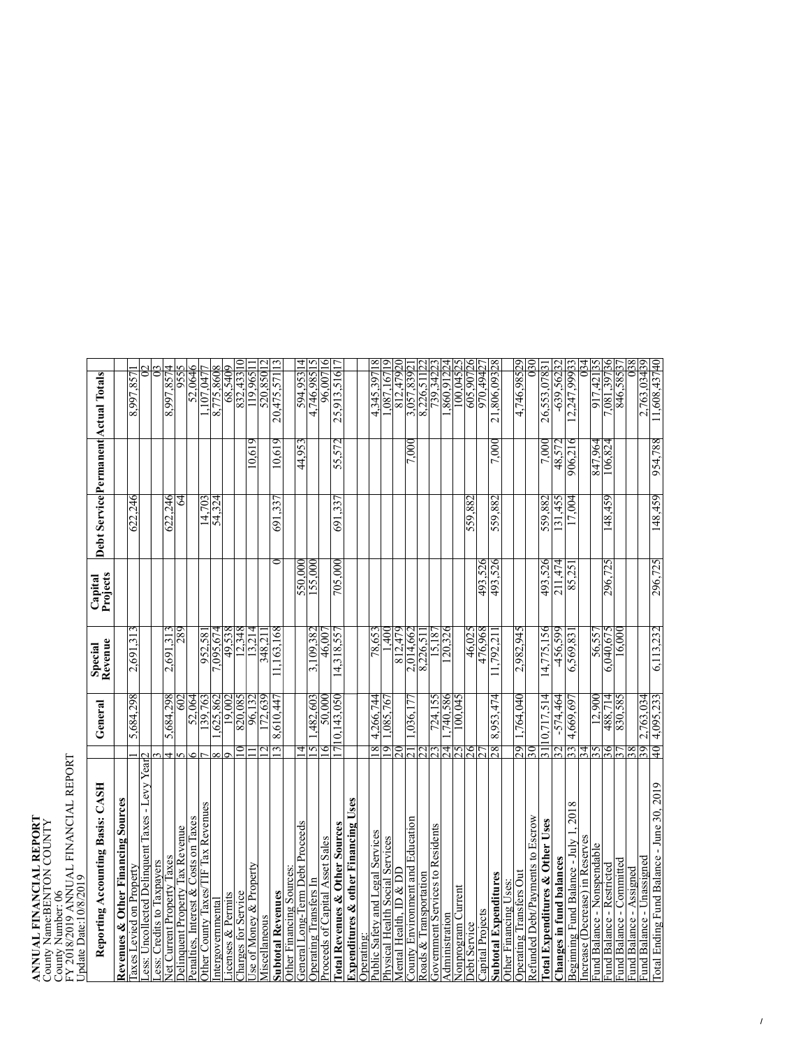## **ANNUAL FINANCIAL REPORT** County Name:BENTON COUNTY<br>County Number: 06<br>County Number: 06 ANNUAL FINANCIAL REPORT<br>County Name:BENTON COUNTY<br>County Number: 06<br>FY 2018/2019 ANNUAL FINANCIAL REPORT<br>Update Date:10/8/2019 FY 2018/2019 ANNUAL FINANCIAL REPORT<br>Update Date:10/8/2019

| Update Date:10/8/2019                                                          |            |                       |                                  |                     |         |         |                                      |
|--------------------------------------------------------------------------------|------------|-----------------------|----------------------------------|---------------------|---------|---------|--------------------------------------|
| Reporting Accounting Basis: CASH                                               |            | General               | Special<br>Revenue               | Projects<br>Capital |         |         | Debt Service Permanent Actual Totals |
| Revenues & Other Financing Sources                                             |            |                       |                                  |                     |         |         |                                      |
| Taxes Levied on Property                                                       |            | 5,684,298             | 2,691,313                        |                     | 622,246 |         | 8,997,85                             |
| ess: Uncollected Delinquent Taxes - Levy Year                                  |            |                       |                                  |                     |         |         |                                      |
| ess: Credits to Taxpayers                                                      |            |                       |                                  |                     |         |         |                                      |
| Net Current Property Taxes                                                     | 4          | 5,684,298             | 2,691,313                        |                     | 622.246 |         | 8,997,857                            |
| Penalties, Interest & Costs on Taxes<br><b>Delinquent Property Tax Revenue</b> | r          | 52,064<br>30          | 289                              |                     | 3       |         | 52.064<br>955                        |
| Other County Taxes/TIF Tax Revenues                                            | ٥          | 139,763               | 952,58                           |                     | 14.703  |         | ,107,047                             |
| Intergovernmental                                                              | ∞          | ,625,862              | .095,674                         |                     | 54,324  |         | 8,775,860                            |
| icenses & Permits                                                              |            | 19.002                | 49,538                           |                     |         |         | 68,5409                              |
| Charges for Service                                                            | ∍          | 820,085               | 12,348                           |                     |         |         | 832,433                              |
| se of Money & Property                                                         |            | 96,132                | 13.214                           |                     |         | 10.619  | 119.965                              |
| Miscellaneous                                                                  |            | 72,639                | 348.21                           |                     |         |         | 520,850                              |
| <b>Subtotal Revenues</b>                                                       | 3          | 8,610,447             | 1.163.168                        |                     | 691,33  | 10,619  | 20,475,571                           |
| Other Financing Sources:                                                       |            |                       |                                  |                     |         |         |                                      |
| General Long-Term Debt Proceeds                                                | 4          |                       |                                  | 550,000             |         | 44,953  | 594,953 14                           |
| Operating Transfers In                                                         | 15         | ,482,603              | 3,109,382                        | 155,000             |         |         | 5<br>4,746,985 <sup>1</sup>          |
| Proceeds of Capital Asset Sales                                                | ୍          | 50.000                | 46,007                           |                     |         |         | 0<br>96,007                          |
| Total Revenues & Other Sources                                                 | 17         | 10,143,050            | 14,318,557                       | 705,000             | 691,337 | 55,572  | 25,913,516 <sup>1</sup>              |
| Expenditures & other Financing Uses                                            |            |                       |                                  |                     |         |         |                                      |
| Operating:                                                                     |            |                       |                                  |                     |         |         |                                      |
| Public Safety and Legal Services                                               | $^{\circ}$ | 4,266,744             | 78,653                           |                     |         |         | 4.345.397                            |
| Physical Health Social Services                                                | 9          | .085,767              | ή                                |                     |         |         | .087.167                             |
| Mental Health, ID & DD                                                         | 20         |                       | 812.479                          |                     |         |         | 812,47920                            |
| County Environment and Education                                               |            | $\frac{1}{0.036,177}$ | 2.014,662                        |                     |         | 7.000   | 3,057,839                            |
| Roads & Transportation                                                         |            |                       | 8,226,51                         |                     |         |         | 8,226,511                            |
| Government Services to Residents                                               |            | 724,155               | $\frac{1}{2}$<br>$\overline{51}$ |                     |         |         | 739.342                              |
| Administration                                                                 | र्द        | ,740.586              | $\overline{120,326}$             |                     |         |         | .860,912                             |
| Nonprogram Current                                                             | 2S         | $5*0.00$              |                                  |                     |         |         | 100.045                              |
| Debt Service                                                                   | 26         |                       | 46.025                           |                     | 559,882 |         | 605,907                              |
| Capital Projects                                                               |            |                       | 476.968                          | 493.526             |         |         | 970,494                              |
| Subtotal Expenditures                                                          | 87         | 8,953,474             | .792.21                          | 493,526             | 559,882 | 7,000   | 21,806,093                           |
| Other Financing Uses:                                                          |            |                       |                                  |                     |         |         |                                      |
| Operating Transfers Out                                                        | 29         | ,764,040              | 2,982,945                        |                     |         |         | 4,746,98529                          |
| Refunded Debt/Payments to Escrow                                               | 30         |                       |                                  |                     |         |         | 30                                   |
| Total Expenditures & Other Uses                                                | 51         | 10.717.514            | 14.775.156                       | 493,526             | 559,882 | 7.000   | 26,553,0783                          |
| Changes in fund balances                                                       | 32         | $-574,464$            | $-456,599$                       | 211,474             | 31,455  | 48,577  | $-639,562$                           |
| 2018<br>Beginning Fund Balance - July 1,                                       | 33         | 4,669,697             | 6,569,831                        | 85.251              | 17,004  | 906,216 | 12,247,99933                         |
| ncrease (Decrease) in Reserves                                                 | 34         |                       |                                  |                     |         |         |                                      |
| Fund Balance - Nonspendable                                                    | ∽          | 12,900                | 56,557                           |                     |         | 847,964 | 917,421                              |
| Fund Balance - Restricted                                                      | 36         | 488,714               | 6.040.675                        | 296,725             | 148,459 | 106,824 | 7.081.397                            |
| Fund Balance - Committed                                                       |            | 830,585               | 16.000                           |                     |         |         | 846,585                              |
| Fund Balance - Assigned                                                        |            |                       |                                  |                     |         |         |                                      |
| Fund Balance - Unassigned                                                      | 39         | 50.697.763            |                                  |                     |         |         | 2.763.03439                          |
| Total Ending Fund Balance - June 30, 2019                                      | 40         | 4.095.233             | 6.113.232                        | 296.725             | 148.459 | 954,788 | 11,608,43740                         |
|                                                                                |            |                       |                                  |                     |         |         |                                      |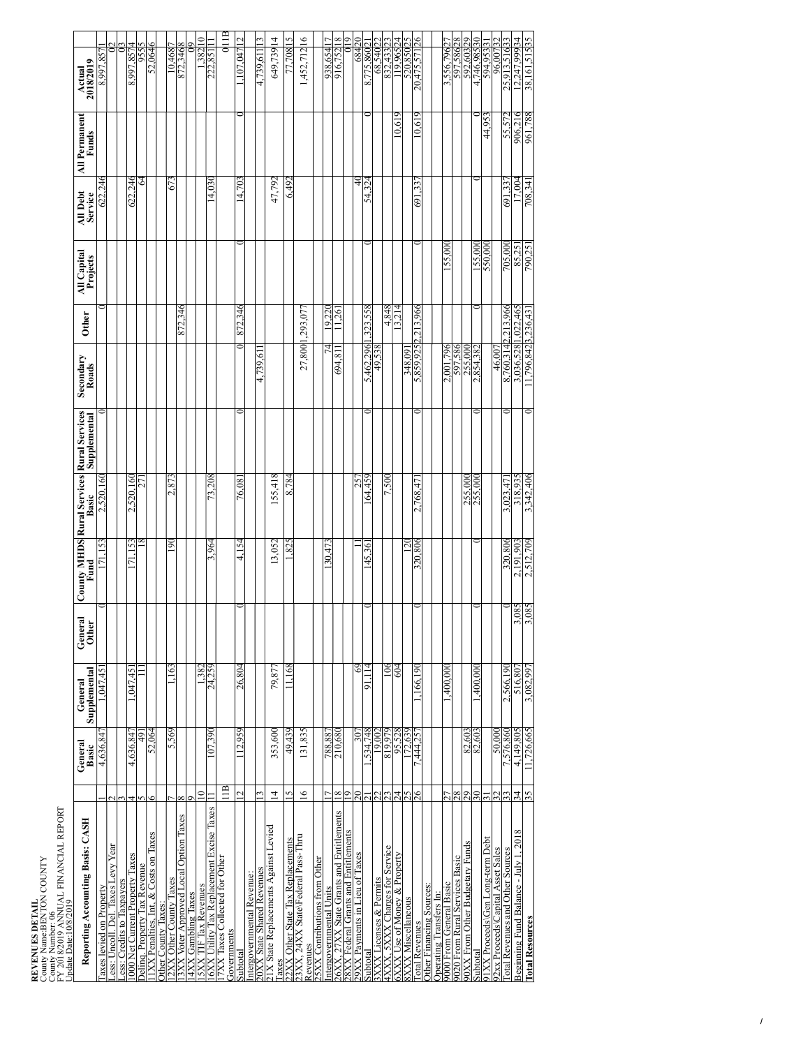| REVENUES DETAIL | County Name:BENTON COUNTY<br>County Number: 06 | FY 2018/2019 ANNUAL FINANCIAL REPORT<br>Update Date:10/8/2019 |  |
|-----------------|------------------------------------------------|---------------------------------------------------------------|--|
|                 |                                                |                                                               |  |

| Update Date:10/8/2019                        |                          |                   |                         |                  |                                                                             |           |                    |              |                         |                     |                               |                               |
|----------------------------------------------|--------------------------|-------------------|-------------------------|------------------|-----------------------------------------------------------------------------|-----------|--------------------|--------------|-------------------------|---------------------|-------------------------------|-------------------------------|
| Reporting Accounting Basis: CASH             |                          | General<br>Basic  | Supplemental<br>General | General<br>Other | <b>County MHDS Rural Services Rural Services</b><br>Fund Basic Supplemental |           | Secondary<br>Roads | <b>Other</b> | All Capital<br>Projects | All Debt<br>Service | All Permanent<br><b>Funds</b> | Actual<br>2018/2019           |
| axes levied on Property                      |                          | 4,636,84          | .047.45                 |                  | 153                                                                         | 2,520,16  |                    |              |                         | 246<br>622.         |                               | 8.997.85                      |
| ess: Uncoll. Del. Taxes Levy Year.           |                          |                   |                         |                  |                                                                             |           |                    |              |                         |                     |                               |                               |
| ess: Credits to Taxpayers                    |                          |                   |                         |                  |                                                                             |           |                    |              |                         |                     |                               |                               |
| 000 Net Current Property Taxes               |                          | 4,636,847         | .047.45                 |                  | 153<br>Ξ                                                                    | 2,520,160 |                    |              |                         | 622,24              |                               | 8,997,857                     |
| Deling. Property Tax Revenue                 |                          | ą,                |                         |                  |                                                                             | 27        |                    |              |                         | 3                   |                               | 955                           |
| IXX Penalties, Int, & Costs on Taxes         |                          | 52,064            |                         |                  |                                                                             |           |                    |              |                         |                     |                               | 52,0646                       |
| Other County Taxes:                          |                          |                   |                         |                  |                                                                             |           |                    |              |                         |                     |                               |                               |
| 2XX Other County Taxes                       |                          | 5,569             | .163                    |                  | 90                                                                          | 2.873     |                    |              |                         | 673                 |                               | 10.468                        |
| Voter Approved Local Option Taxes            |                          |                   |                         |                  |                                                                             |           |                    | 872.346      |                         |                     |                               | 872,346                       |
| <b>4XX Gambling Taxes</b>                    |                          |                   |                         |                  |                                                                             |           |                    |              |                         |                     |                               |                               |
| <b>5XX TIF Tax Revenues</b>                  | $\overline{\phantom{0}}$ |                   | 382                     |                  |                                                                             |           |                    |              |                         |                     |                               | $\equiv$<br>382               |
| 6XX Utility Tax Replacement Excise Taxes     |                          | 107,390           | 24,259                  |                  | 3,964                                                                       | 73.208    |                    |              |                         | 14.030              |                               | 222,85                        |
| 7XX Taxes Collected for Other<br>Governments | ПB                       |                   |                         |                  |                                                                             |           |                    |              |                         |                     |                               | Q11B                          |
| subtotal                                     | $\mathcal{C}$            | 112.959           | 26,804                  |                  | 154<br>$\vec{ }$                                                            | 76.081    |                    | 872.346      |                         | 14,703              |                               | 107.047                       |
| ntergovernmental Revenue:                    |                          |                   |                         |                  |                                                                             |           |                    |              |                         |                     |                               |                               |
| OXX State Shared Revenues                    | 3                        |                   |                         |                  |                                                                             |           | 4.739.61           |              |                         |                     |                               | Ľ<br>4.739,611                |
| IX State Replacements Against Levied<br>axes | $\overline{4}$           | 353,600           | 79,877                  |                  | 13,052                                                                      | 155,418   |                    |              |                         | 47,792              |                               | 649,73914                     |
| 2XX Other State Tax Replacements             | 5                        | 49,439            | .168                    |                  | 33                                                                          | 8.784     |                    |              |                         | 6,497               |                               | η<br>.708                     |
| 3XX, 24XX State\Federal Pass-Thru            | $\geq$                   | 131,835           |                         |                  |                                                                             |           | 27,800             | .293,07      |                         |                     |                               | 1,452,712 <sup>16</sup>       |
| Revenues                                     |                          |                   |                         |                  |                                                                             |           |                    |              |                         |                     |                               |                               |
| <b>5XX Contributions from Other</b>          |                          |                   |                         |                  |                                                                             |           |                    |              |                         |                     |                               |                               |
| ntergovernmental Units                       |                          | 788,88            |                         |                  | 30.47                                                                       |           |                    | 19,220       |                         |                     |                               | 938,654                       |
| 26XX, 27XX State Grants and Entitlements     | ∞                        | 210,680           |                         |                  |                                                                             |           | 694,81             | 1.261        |                         |                     |                               | ∝<br>916,752                  |
| 8XX Federal Grants and Entitlements          | Φ                        |                   |                         |                  |                                                                             |           |                    |              |                         |                     |                               | σ                             |
| 9XX Payments in Lieu of Taxes                |                          | ξŔ                | 69                      |                  |                                                                             | 25        |                    |              |                         | ₹                   |                               | ິ<br>684                      |
| Subtota                                      |                          | 34,748            | 5                       |                  | 45.36                                                                       | 64,459    | 5,462,296          | ,323,558     |                         | 54.324              |                               | 8.775.860                     |
| Licenses & Permits<br>XXX                    |                          | 19.002            |                         |                  |                                                                             |           | 49,538             |              |                         |                     |                               | 68.540                        |
| 4XXX, 5XXX Charges for Service               |                          | 819.979           | 106                     |                  |                                                                             | 500       |                    | 4,848        |                         |                     |                               | 832,433                       |
| Jse of Money & Property<br><b>SXXX</b>       | 24                       | 95,528<br>172,639 | 604                     |                  |                                                                             |           |                    | 13,214       |                         |                     | 10,61                         | 119,96524<br>520,85025        |
| 8XXX Miscellaneous                           | 25                       |                   |                         |                  | ন                                                                           |           | 348.09             |              |                         |                     |                               |                               |
| otal Revenues                                | 26                       | 7,444.25'         | 166,190                 |                  | 320,806                                                                     | 2.768,47  | 5,859,9252.213,966 |              |                         | 691,33              | 10,619                        | $\overline{26}$<br>20,475,571 |
| Other Financing Sources:                     |                          |                   |                         |                  |                                                                             |           |                    |              |                         |                     |                               |                               |
| <b>Operating Transfers In:</b>               |                          |                   |                         |                  |                                                                             |           |                    |              |                         |                     |                               |                               |
| 9000 From General Basic                      |                          |                   | ,400,000                |                  |                                                                             |           | 2.001.796          |              | 55.000                  |                     |                               | 3.556.796                     |
| 9020 From Rural Services Basic               | 28                       |                   |                         |                  |                                                                             |           | 597,586            |              |                         |                     |                               | 28<br>597,586                 |
| 90XX From Other Budgetary Funds              | 29                       | 82,603<br>82,603  |                         |                  |                                                                             | 255,00    | 255.00             |              |                         |                     |                               | ă<br>592,603                  |
| Subtotal                                     | $\tilde{30}$             |                   | $,400,\overline{000}$   |                  |                                                                             | 255,00    | 2,854,382          |              | 155.000                 |                     |                               | 4,746,98550                   |
| 91XX Proceeds\Gen Long-term Debt             |                          |                   |                         |                  |                                                                             |           |                    |              | 550.000                 |                     | 44,953                        | 594,953                       |
| 92xx Proceeds\Capital Asset Sales            |                          | 50,000            |                         |                  |                                                                             |           | 46,007             |              |                         |                     |                               | 96.007                        |
| otal Revenues and Other Sources              | 33                       | 7,576,860         | 2,566,190               |                  | 320,806                                                                     | 3,023,47  | 8.760.314          | 2.213.966    | 705,000                 | 691.33              | 55,572                        | 25,913,51683                  |
| Beginning Fund Balance - July 1, 2018        | 34                       | 4,149,805         | 516,807                 | 3,085            | 2,191,903                                                                   | 318,935   | 3,036,528          | ,022,465     | 85,251                  | 17,004              | 906,21                        | 12,247,99934                  |
| <b>Total Resources</b>                       | 35                       | 11,726,665        | 3,082,997               | 3,085            | 2,512,709                                                                   | 3,342,406 | .796.8423.236.43   |              | 790.25                  | 708.34              | 961,788                       | 38,161,51585                  |
|                                              |                          |                   |                         |                  |                                                                             |           |                    |              |                         |                     |                               |                               |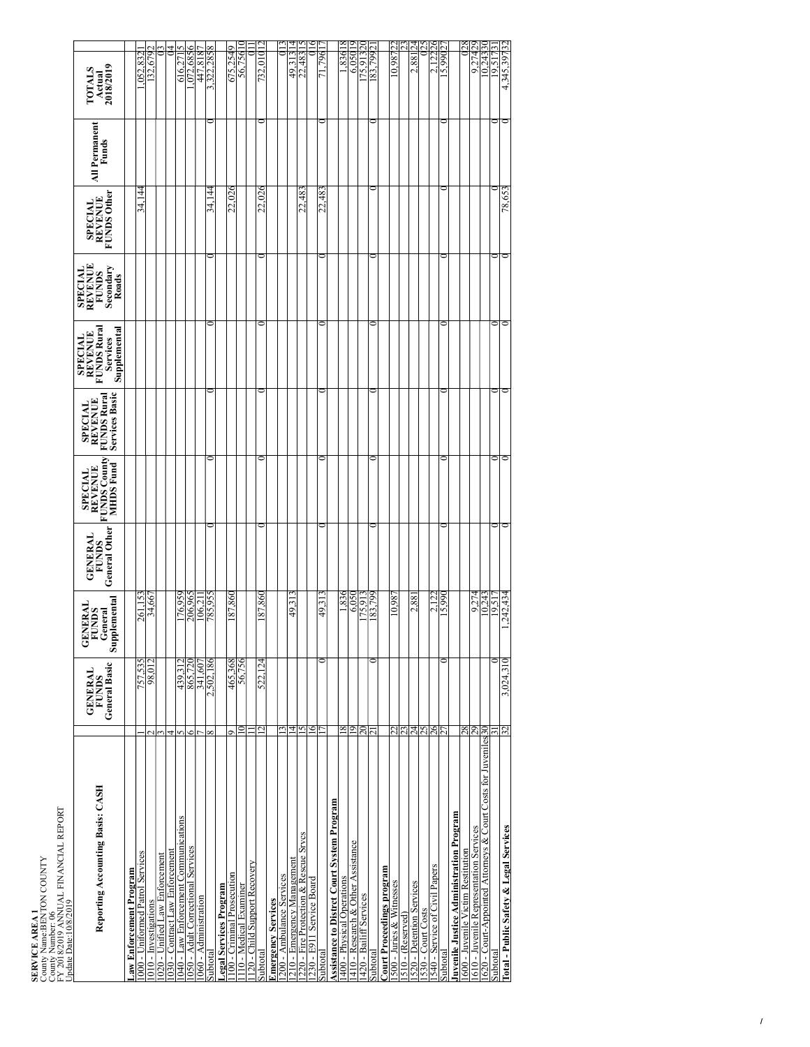| <b>SERVICE AREA 1</b> | County Name:BENTON COUNTY | County Number: 06<br>FY 2018/2019 ANNUAL FINANCIAL REPORT | Update Date: 10/8/2019 |  |
|-----------------------|---------------------------|-----------------------------------------------------------|------------------------|--|
|                       |                           |                                                           |                        |  |

| Reporting Accounting Basis: CASH                               | General Basic<br><b>GENERAL</b><br><b>FUNDS</b> | lemental<br><b>GENERAL</b><br>FUNDS<br>General<br>Suppl | General Other<br><b>GENERAL</b><br><b>FUNDS</b> | <b>FUNDS County</b><br><b>MHDS</b> Fund<br><b>SPECIAL</b><br>REVENUE | Services Basic<br><b>FUNDS Rura</b><br><b>SPECIAL</b><br>REVENUE | Supplemental<br><b>FUNDS Rura</b><br><b>REVENUE</b><br><b>SPECIAL</b><br>Services | REVENUE<br>Secondary<br><b>SPECIAL</b><br><b>FUNDS</b><br>Roads | <b>FUNDS Other</b><br><b>REVENUE</b><br><b>SPECIAL</b> | <b>All Permanent</b><br>Funds | 2018/2019<br><b>FOTALS</b><br>Actual |
|----------------------------------------------------------------|-------------------------------------------------|---------------------------------------------------------|-------------------------------------------------|----------------------------------------------------------------------|------------------------------------------------------------------|-----------------------------------------------------------------------------------|-----------------------------------------------------------------|--------------------------------------------------------|-------------------------------|--------------------------------------|
| aw Enforcement Program                                         |                                                 |                                                         |                                                 |                                                                      |                                                                  |                                                                                   |                                                                 |                                                        |                               |                                      |
| 000 - Uniformed Patrol Services                                | 757.535                                         | 261,153                                                 |                                                 |                                                                      |                                                                  |                                                                                   |                                                                 | 34.144                                                 |                               | 832<br>.052                          |
| 010 - Investigations                                           | 98.012                                          | 34,667                                                  |                                                 |                                                                      |                                                                  |                                                                                   |                                                                 |                                                        |                               | 679<br>32.                           |
| 020 - Unified Law Enforcement                                  |                                                 |                                                         |                                                 |                                                                      |                                                                  |                                                                                   |                                                                 |                                                        |                               |                                      |
| 030 - Contract Law Enforcement                                 |                                                 |                                                         |                                                 |                                                                      |                                                                  |                                                                                   |                                                                 |                                                        |                               |                                      |
| 040 - Law Enforcement Communications                           | 439.312                                         | 76,959                                                  |                                                 |                                                                      |                                                                  |                                                                                   |                                                                 |                                                        |                               | 616,27                               |
| 050 - Adult Correctional Services                              | 865.720<br>c                                    | 206.965                                                 |                                                 |                                                                      |                                                                  |                                                                                   |                                                                 |                                                        |                               | 072.685                              |
| 060 - Administration                                           | 341.607                                         | 106.21                                                  |                                                 |                                                                      |                                                                  |                                                                                   |                                                                 |                                                        |                               | 447,818                              |
| Subtotal                                                       | 2,502,186<br>$\propto$                          | 785.95                                                  |                                                 |                                                                      |                                                                  |                                                                                   |                                                                 | 144<br>34.]                                            |                               | 322.285                              |
| egal Services Program                                          |                                                 |                                                         |                                                 |                                                                      |                                                                  |                                                                                   |                                                                 |                                                        |                               |                                      |
| 100 - Criminal Prosecution                                     | 465,368<br>c                                    | 187,86                                                  |                                                 |                                                                      |                                                                  |                                                                                   |                                                                 | 22,02                                                  |                               | 675,254                              |
| 10 - Medical Examiner                                          | 56,756                                          |                                                         |                                                 |                                                                      |                                                                  |                                                                                   |                                                                 |                                                        |                               | 56,756                               |
| 20 - Child Support Recovery                                    |                                                 |                                                         |                                                 |                                                                      |                                                                  |                                                                                   |                                                                 |                                                        |                               |                                      |
| Subtotal                                                       | 522,124<br>Ŋ                                    | 187,860                                                 |                                                 |                                                                      |                                                                  |                                                                                   |                                                                 | 22,026                                                 |                               | 732,010                              |
| <b>Imergency Services</b>                                      |                                                 |                                                         |                                                 |                                                                      |                                                                  |                                                                                   |                                                                 |                                                        |                               |                                      |
| 200 - Ambulance Services                                       |                                                 |                                                         |                                                 |                                                                      |                                                                  |                                                                                   |                                                                 |                                                        |                               |                                      |
| 210 - Emergency Management                                     | 4                                               | 49.31                                                   |                                                 |                                                                      |                                                                  |                                                                                   |                                                                 |                                                        |                               | 4<br>49.31                           |
| 220 - Fire Protection & Rescue Srvcs                           | n                                               |                                                         |                                                 |                                                                      |                                                                  |                                                                                   |                                                                 | 22.483                                                 |                               | 22,483                               |
| 230 - E911 Service Board                                       | 6                                               |                                                         |                                                 |                                                                      |                                                                  |                                                                                   |                                                                 |                                                        |                               |                                      |
| Subtotal                                                       |                                                 | 49.31                                                   |                                                 |                                                                      |                                                                  |                                                                                   |                                                                 | ∛.<br>22,                                              |                               | 796                                  |
| <b>Assistance to Distrct Court System Program</b>              |                                                 |                                                         |                                                 |                                                                      |                                                                  |                                                                                   |                                                                 |                                                        |                               |                                      |
| 400 - Physical Operations                                      | ∞                                               | .836                                                    |                                                 |                                                                      |                                                                  |                                                                                   |                                                                 |                                                        |                               | x<br>1,836                           |
| 410 - Research & Other Assistance                              | ᢦ                                               | 6,050                                                   |                                                 |                                                                      |                                                                  |                                                                                   |                                                                 |                                                        |                               | 6.050                                |
| 420 - Bailiff Services                                         | ನ                                               | .75.91                                                  |                                                 |                                                                      |                                                                  |                                                                                   |                                                                 |                                                        |                               | 75.91                                |
| Subtotal                                                       |                                                 | 183,799                                                 |                                                 |                                                                      |                                                                  |                                                                                   |                                                                 |                                                        |                               | 83.799                               |
| <b>Jourt Proceedings program</b>                               |                                                 |                                                         |                                                 |                                                                      |                                                                  |                                                                                   |                                                                 |                                                        |                               |                                      |
| 500 - Juries & Witnesses                                       |                                                 | $.86^{0.0}$                                             |                                                 |                                                                      |                                                                  |                                                                                   |                                                                 |                                                        |                               | 0.98722                              |
| $510 - (Research)$                                             | IJ                                              |                                                         |                                                 |                                                                      |                                                                  |                                                                                   |                                                                 |                                                        |                               |                                      |
| 520 - Detention Services                                       | 24                                              | 2,88                                                    |                                                 |                                                                      |                                                                  |                                                                                   |                                                                 |                                                        |                               | 2.881                                |
| 530 - Court Costs                                              | 25                                              |                                                         |                                                 |                                                                      |                                                                  |                                                                                   |                                                                 |                                                        |                               |                                      |
| 540 - Service of Civil Papers                                  | 26                                              | 122<br>$\overline{C}$                                   |                                                 |                                                                      |                                                                  |                                                                                   |                                                                 |                                                        |                               | 26<br>122                            |
| Subtotal                                                       |                                                 | 5,990                                                   |                                                 |                                                                      |                                                                  |                                                                                   |                                                                 |                                                        |                               | 5.990                                |
| Juvenile Justice Administration Program                        |                                                 |                                                         |                                                 |                                                                      |                                                                  |                                                                                   |                                                                 |                                                        |                               |                                      |
| 600 - Juvenile Victim Restitution                              | 28                                              |                                                         |                                                 |                                                                      |                                                                  |                                                                                   |                                                                 |                                                        |                               | 28                                   |
| 610 - Juvenile Representation Services                         | 29                                              | 9.274                                                   |                                                 |                                                                      |                                                                  |                                                                                   |                                                                 |                                                        |                               | 9.274                                |
| 620 - Court-Appointed Attorneys & Court Costs for Juveniles 30 |                                                 | 10.24                                                   |                                                 |                                                                      |                                                                  |                                                                                   |                                                                 |                                                        |                               | 0,243                                |
| Subtotal                                                       |                                                 | 9.51                                                    |                                                 |                                                                      |                                                                  |                                                                                   |                                                                 |                                                        |                               | 5<br>o                               |
| Total - Public Safety & Legal Services                         | 3,024,310<br>Ζε                                 | .242.434                                                |                                                 |                                                                      |                                                                  |                                                                                   |                                                                 | 78,653                                                 |                               | 4,345,39782                          |
|                                                                |                                                 |                                                         |                                                 |                                                                      |                                                                  |                                                                                   |                                                                 |                                                        |                               |                                      |

**Total - Public Safety & Legal Services** 32 3,024,310 1,242,434 0 0 0 0 0 78,653 0 4,345,39732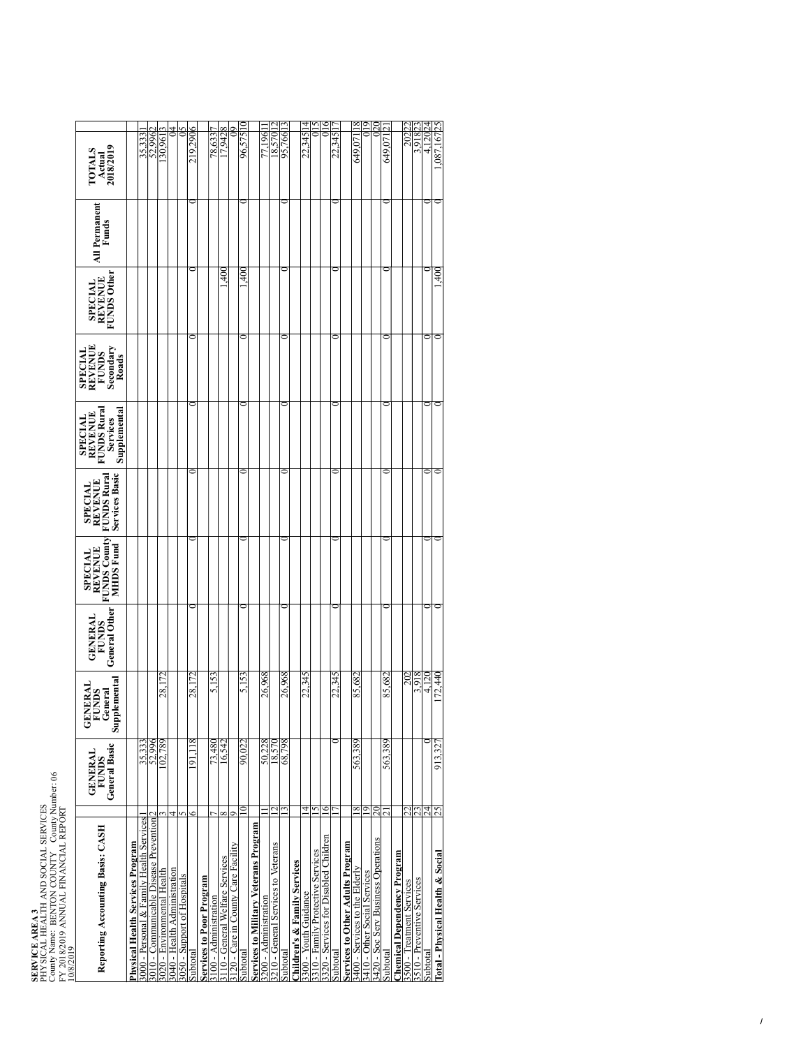**SERVICE AREA 3<br>PHYSICAL HEALT<br>County Name: BEN<br>FY 2018/2019 ANN<br>10/8/2019** PHYSICAL HEALTH AND SOCIAL SERVICES County Name: BENTON COUNTY County Number: 06 FY 2018/2019 ANNUAL FINANCIAL REPORT<br>10/8/2019

| Reporting Accounting Basis: CASH                            | General Basic<br><b>GENERAL</b><br><b>FUNDS</b> | Supplemental<br>NERAI<br><b>GENERAL</b><br>FUNDS<br>General | <b>General Other</b><br><b>GENERAL</b><br><b>FUNDS</b> | <b>FUNDS County</b><br>MHDS Fund<br><b>SPECIAL</b><br>REVENUE | <b>Services Basic</b><br><b>FUNDS Rura</b><br><b>SPECIAL<br/>REVENUE</b> | Supplemental<br><b>FUNDS Rura</b><br><b>SPECIAL</b><br>REVENUE<br><b>Services</b> | SPECIAL<br>REVENUE<br><b>FUNDS</b><br>Secondary<br>Roads | <b>FUNDS Other</b><br><b>REVENUE</b><br><b>SPECIAL</b> | <b>All Permanent</b><br>Funds | TOTALS<br>Actual<br>2018/2019 |
|-------------------------------------------------------------|-------------------------------------------------|-------------------------------------------------------------|--------------------------------------------------------|---------------------------------------------------------------|--------------------------------------------------------------------------|-----------------------------------------------------------------------------------|----------------------------------------------------------|--------------------------------------------------------|-------------------------------|-------------------------------|
| <b>Physical Health Services Program</b>                     |                                                 |                                                             |                                                        |                                                               |                                                                          |                                                                                   |                                                          |                                                        |                               |                               |
| 3000 - Personal & Family Health Services                    | 35,333                                          |                                                             |                                                        |                                                               |                                                                          |                                                                                   |                                                          |                                                        |                               | 35,333                        |
| 3010 - Communicable Disease Prevention                      | 52.996                                          |                                                             |                                                        |                                                               |                                                                          |                                                                                   |                                                          |                                                        |                               | 52.996                        |
|                                                             | 102,789                                         | 28.1                                                        |                                                        |                                                               |                                                                          |                                                                                   |                                                          |                                                        |                               | 30.961                        |
| 3020 - Environmental Health<br>3040 - Health Administration | 4                                               |                                                             |                                                        |                                                               |                                                                          |                                                                                   |                                                          |                                                        |                               |                               |
| 3050 - Support of Hospitals                                 |                                                 |                                                             |                                                        |                                                               |                                                                          |                                                                                   |                                                          |                                                        |                               |                               |
| Subtotal                                                    | Ξ                                               | 28,1                                                        |                                                        |                                                               |                                                                          |                                                                                   |                                                          |                                                        |                               | 219.2906                      |
| Services to Poor Program                                    |                                                 |                                                             |                                                        |                                                               |                                                                          |                                                                                   |                                                          |                                                        |                               |                               |
| 3100 - Administration                                       | 73,480                                          | 5,153                                                       |                                                        |                                                               |                                                                          |                                                                                   |                                                          |                                                        |                               | 78,633                        |
| 10 - General Welfare Services                               | 16,542                                          |                                                             |                                                        |                                                               |                                                                          |                                                                                   |                                                          | $\frac{1}{2}$                                          |                               | 7.942                         |
| 120 - Care in County Care Facility                          |                                                 |                                                             |                                                        |                                                               |                                                                          |                                                                                   |                                                          |                                                        |                               |                               |
| Subtotal                                                    | 90.022                                          | S<br>51                                                     |                                                        |                                                               |                                                                          |                                                                                   |                                                          | $\frac{40}{5}$                                         |                               | 96.5751                       |
| <b>Services to Military Veterans Program</b>                |                                                 |                                                             |                                                        |                                                               |                                                                          |                                                                                   |                                                          |                                                        |                               |                               |
| 3200 - Administration                                       | 50,228                                          | 26,968                                                      |                                                        |                                                               |                                                                          |                                                                                   |                                                          |                                                        |                               | 77.196                        |
| 3210 - General Services to Veterans                         | 18,570<br>$\mathbf 2$                           |                                                             |                                                        |                                                               |                                                                          |                                                                                   |                                                          |                                                        |                               | 18.57                         |
| <b>Subtota</b>                                              | 68.798                                          | 26,968                                                      |                                                        |                                                               |                                                                          |                                                                                   |                                                          |                                                        |                               | 95,766                        |
| Children's & Family Services                                |                                                 |                                                             |                                                        |                                                               |                                                                          |                                                                                   |                                                          |                                                        |                               |                               |
| 300 - Youth Guidance                                        | 4                                               | 22,34                                                       |                                                        |                                                               |                                                                          |                                                                                   |                                                          |                                                        |                               | 22.345                        |
| 310 - Family Protective Services                            | 5                                               |                                                             |                                                        |                                                               |                                                                          |                                                                                   |                                                          |                                                        |                               |                               |
| 3320 - Services for Disabled Children                       | 6                                               |                                                             |                                                        |                                                               |                                                                          |                                                                                   |                                                          |                                                        |                               |                               |
| Subtotal                                                    |                                                 | 22.34                                                       |                                                        |                                                               |                                                                          |                                                                                   |                                                          |                                                        |                               | 22.345                        |
| <b>Services to Other Adults Program</b>                     |                                                 |                                                             |                                                        |                                                               |                                                                          |                                                                                   |                                                          |                                                        |                               |                               |
| 3400 - Services to the Elderly                              | 563,389<br>8                                    | 85,682                                                      |                                                        |                                                               |                                                                          |                                                                                   |                                                          |                                                        |                               | 649.0                         |
| 3410 - Other Social Services                                | q                                               |                                                             |                                                        |                                                               |                                                                          |                                                                                   |                                                          |                                                        |                               |                               |
| 3420 - Soc Serv Business Operations                         | న                                               |                                                             |                                                        |                                                               |                                                                          |                                                                                   |                                                          |                                                        |                               |                               |
| Subtotal                                                    | 563.389                                         | 85,682                                                      |                                                        |                                                               |                                                                          |                                                                                   |                                                          |                                                        |                               | 649,07                        |
| <b>Chemical Dependency Program</b>                          |                                                 |                                                             |                                                        |                                                               |                                                                          |                                                                                   |                                                          |                                                        |                               |                               |
| 3500 - Treatment Services                                   |                                                 | 202                                                         |                                                        |                                                               |                                                                          |                                                                                   |                                                          |                                                        |                               | 202                           |
| 3510 - Preventive Services                                  |                                                 | <u>اہ ڈ</u>                                                 |                                                        |                                                               |                                                                          |                                                                                   |                                                          |                                                        |                               | ಕ                             |
| <b>Subtota</b>                                              | 24                                              | $\tilde{\mathbf{c}}$<br>4                                   |                                                        |                                                               |                                                                          |                                                                                   |                                                          |                                                        |                               |                               |
| <b>Total - Physical Health &amp; Social</b>                 | 913,327<br>25                                   | 172,44                                                      |                                                        |                                                               |                                                                          |                                                                                   |                                                          | $\frac{40}{5}$                                         |                               | .087.16725                    |
|                                                             |                                                 |                                                             |                                                        |                                                               |                                                                          |                                                                                   |                                                          |                                                        |                               |                               |
|                                                             |                                                 |                                                             |                                                        |                                                               |                                                                          |                                                                                   |                                                          |                                                        |                               |                               |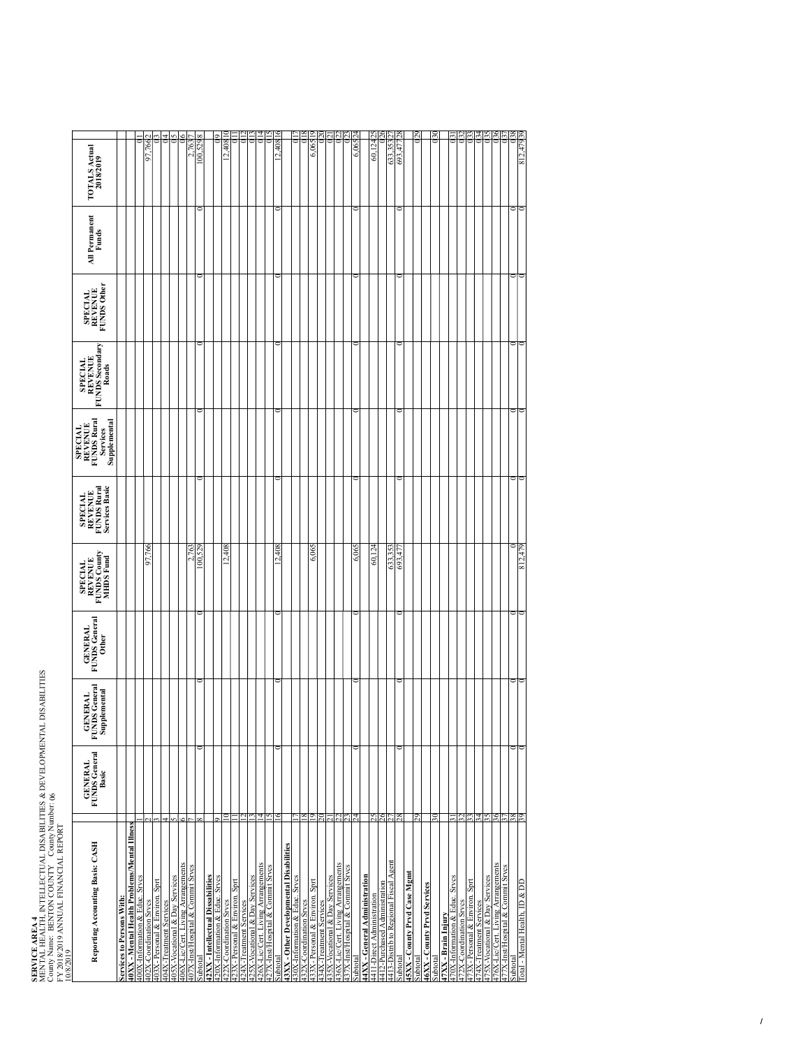**SERVICE AREA<br>MENTAL HEALTH<br>County Name: BEN<br>FY 2018/2019 ANN<br>10/8/2019** MENTAL HEALTH, INTELLECTUAL DISABILITIES & DEVELOPMENTAL DISABILITIES<br>County Name: BENTON COUNTY County Number: 06 County Name: BENTON COUNTY County Number: 06

| FY 2018/2019 ANNUAL FINANCIAL REPORT<br>10/8/2019                  |                                          |                                                          |                                          |                                                                             |                                                                          |                                                                       |                                                              |                                          |                        |                                   |
|--------------------------------------------------------------------|------------------------------------------|----------------------------------------------------------|------------------------------------------|-----------------------------------------------------------------------------|--------------------------------------------------------------------------|-----------------------------------------------------------------------|--------------------------------------------------------------|------------------------------------------|------------------------|-----------------------------------|
| Reporting Accounting Basis: CASH                                   | <b>GENERAL</b><br>FUNDS General<br>Basic | <b>S</b> General<br>Supplemental<br>NERAL<br>exia<br>For | <b>GENERAL</b><br>FUNDS General<br>Other | <b>FUNDS County</b><br><b>MHDS</b> Fund<br><b>REVENUE</b><br><b>SPECIAL</b> | <b>FUNDS Rural</b><br>Services Basic<br><b>REVENUE</b><br><b>SPECIAL</b> | FUNDS Rural<br>Supplemental<br><b>SPECIAL<br/>REVENUE</b><br>Services | <b>REVENUE</b><br>FUNDS Secondary<br><b>SPECIAL</b><br>Roads | <b>FUNDS Other</b><br>SPECIAL<br>REVENUE | All Permanent<br>Funds | <b>TOTALS Actual</b><br>2018/2019 |
| <b>Services to Persons With.</b>                                   |                                          |                                                          |                                          |                                                                             |                                                                          |                                                                       |                                                              |                                          |                        |                                   |
| 40XX - Mental Health Problems/Mental Illness                       |                                          |                                                          |                                          |                                                                             |                                                                          |                                                                       |                                                              |                                          |                        |                                   |
| 400X-Information & Educ. Srvcs                                     |                                          |                                                          |                                          |                                                                             |                                                                          |                                                                       |                                                              |                                          |                        |                                   |
| 402X-Coordination Srvcs                                            |                                          |                                                          |                                          | 97.76                                                                       |                                                                          |                                                                       |                                                              |                                          |                        | 766<br>5                          |
| 403X-Personal & Environ. Sprt                                      |                                          |                                                          |                                          |                                                                             |                                                                          |                                                                       |                                                              |                                          |                        |                                   |
| 404X-Treatment Services                                            | 4                                        |                                                          |                                          |                                                                             |                                                                          |                                                                       |                                                              |                                          |                        |                                   |
| 405X-Vocational & Day Services                                     |                                          |                                                          |                                          |                                                                             |                                                                          |                                                                       |                                                              |                                          |                        |                                   |
| 406X-Lic/Cert. Living Arrangements                                 |                                          |                                                          |                                          |                                                                             |                                                                          |                                                                       |                                                              |                                          |                        |                                   |
| 407X-Inst/Hospital & Commit Srvcs                                  |                                          |                                                          |                                          | É                                                                           |                                                                          |                                                                       |                                                              |                                          |                        |                                   |
| Subtotal                                                           |                                          |                                                          |                                          | 00,529                                                                      |                                                                          |                                                                       |                                                              |                                          |                        | 00,529                            |
| 42XX - Intellectual Dissabilities<br>20X-Information & Educ. Srvcs |                                          |                                                          |                                          |                                                                             |                                                                          |                                                                       |                                                              |                                          |                        |                                   |
| 422X-Coordination Srvcs                                            |                                          |                                                          |                                          | 12,408                                                                      |                                                                          |                                                                       |                                                              |                                          |                        | 12,4081                           |
| 23X-Personal & Environ. Sprt                                       |                                          |                                                          |                                          |                                                                             |                                                                          |                                                                       |                                                              |                                          |                        |                                   |
| 24X-Treatment Services                                             |                                          |                                                          |                                          |                                                                             |                                                                          |                                                                       |                                                              |                                          |                        |                                   |
| 25X-Vocational & Day Services                                      |                                          |                                                          |                                          |                                                                             |                                                                          |                                                                       |                                                              |                                          |                        |                                   |
| 26X-Lic/Cert. Living Arrangements                                  |                                          |                                                          |                                          |                                                                             |                                                                          |                                                                       |                                                              |                                          |                        |                                   |
| 27X-Inst/Hospital & Commit Srvcs                                   |                                          |                                                          |                                          |                                                                             |                                                                          |                                                                       |                                                              |                                          |                        |                                   |
| Subtotal                                                           |                                          |                                                          |                                          | 12,408                                                                      |                                                                          |                                                                       |                                                              |                                          |                        | 12,4081                           |
| 43XX - Other Developmental Disabilities                            |                                          |                                                          |                                          |                                                                             |                                                                          |                                                                       |                                                              |                                          |                        |                                   |
| 30X-Information & Educ. Srvcs                                      |                                          |                                                          |                                          |                                                                             |                                                                          |                                                                       |                                                              |                                          |                        |                                   |
| 2X-Coordination Srvcs                                              |                                          |                                                          |                                          |                                                                             |                                                                          |                                                                       |                                                              |                                          |                        |                                   |
| 33X-Personal & Environ. Sprt                                       |                                          |                                                          |                                          | 6,065                                                                       |                                                                          |                                                                       |                                                              |                                          |                        | 6.065                             |
| 34X-Treatment Services                                             |                                          |                                                          |                                          |                                                                             |                                                                          |                                                                       |                                                              |                                          |                        |                                   |
| SX-Vocational & Day Services                                       |                                          |                                                          |                                          |                                                                             |                                                                          |                                                                       |                                                              |                                          |                        |                                   |
| 36X-Lic/Cert. Living Arrangements                                  |                                          |                                                          |                                          |                                                                             |                                                                          |                                                                       |                                                              |                                          |                        |                                   |
| 437X-Inst/Hospital & Commit Srvcs                                  |                                          |                                                          |                                          |                                                                             |                                                                          |                                                                       |                                                              |                                          |                        |                                   |
| Subtotal                                                           |                                          |                                                          |                                          | 6.063                                                                       |                                                                          |                                                                       |                                                              |                                          |                        | 6.06524                           |
| 44XX - General Administration                                      |                                          |                                                          |                                          |                                                                             |                                                                          |                                                                       |                                                              |                                          |                        |                                   |
| 4411-Direct Administration                                         |                                          |                                                          |                                          | $\overline{5}$                                                              |                                                                          |                                                                       |                                                              |                                          |                        | 12425<br>S0,                      |
| 4412-Purchased Administration                                      |                                          |                                                          |                                          |                                                                             |                                                                          |                                                                       |                                                              |                                          |                        |                                   |
| 4413-Distrib to Regional Fiscal Agent                              |                                          |                                                          |                                          | 633,353                                                                     |                                                                          |                                                                       |                                                              |                                          |                        | 633,353                           |
| subtota                                                            |                                          |                                                          |                                          | 693,47                                                                      |                                                                          |                                                                       |                                                              |                                          |                        | 693,47                            |
| 45XX - County Prvd Case Mgmt<br>ubtota                             |                                          |                                                          |                                          |                                                                             |                                                                          |                                                                       |                                                              |                                          |                        |                                   |
|                                                                    |                                          |                                                          |                                          |                                                                             |                                                                          |                                                                       |                                                              |                                          |                        |                                   |
| 46XX - County Prvd Services                                        |                                          |                                                          |                                          |                                                                             |                                                                          |                                                                       |                                                              |                                          |                        |                                   |
| Subtotal                                                           |                                          |                                                          |                                          |                                                                             |                                                                          |                                                                       |                                                              |                                          |                        |                                   |
| 47XX - Brain Injury                                                |                                          |                                                          |                                          |                                                                             |                                                                          |                                                                       |                                                              |                                          |                        |                                   |
| 70X-Information & Educ. Srvcs                                      |                                          |                                                          |                                          |                                                                             |                                                                          |                                                                       |                                                              |                                          |                        |                                   |
| 72X-Coordination Srvcs                                             |                                          |                                                          |                                          |                                                                             |                                                                          |                                                                       |                                                              |                                          |                        |                                   |
| 73X-Personal & Environ. Sprt                                       |                                          |                                                          |                                          |                                                                             |                                                                          |                                                                       |                                                              |                                          |                        |                                   |
| 474X-Treatment Services                                            |                                          |                                                          |                                          |                                                                             |                                                                          |                                                                       |                                                              |                                          |                        |                                   |
| 75X-Vocational & Day Services                                      |                                          |                                                          |                                          |                                                                             |                                                                          |                                                                       |                                                              |                                          |                        |                                   |
| 476X-Lic/Cert. Living Arrangements                                 |                                          |                                                          |                                          |                                                                             |                                                                          |                                                                       |                                                              |                                          |                        |                                   |
| 77X-Inst/Hospital & Commit Srvcs                                   |                                          |                                                          |                                          |                                                                             |                                                                          |                                                                       |                                                              |                                          |                        |                                   |
| Subtotal                                                           | $rac{38}{39}$                            |                                                          |                                          |                                                                             |                                                                          |                                                                       |                                                              |                                          |                        |                                   |
| Total - Mental Health, ID & DD                                     |                                          |                                                          |                                          | 812,47                                                                      |                                                                          |                                                                       |                                                              |                                          |                        | 812,479                           |

Total - Mental Health, ID & DD 39 0 0 0 812,479 0 0 0 0 0 812,47939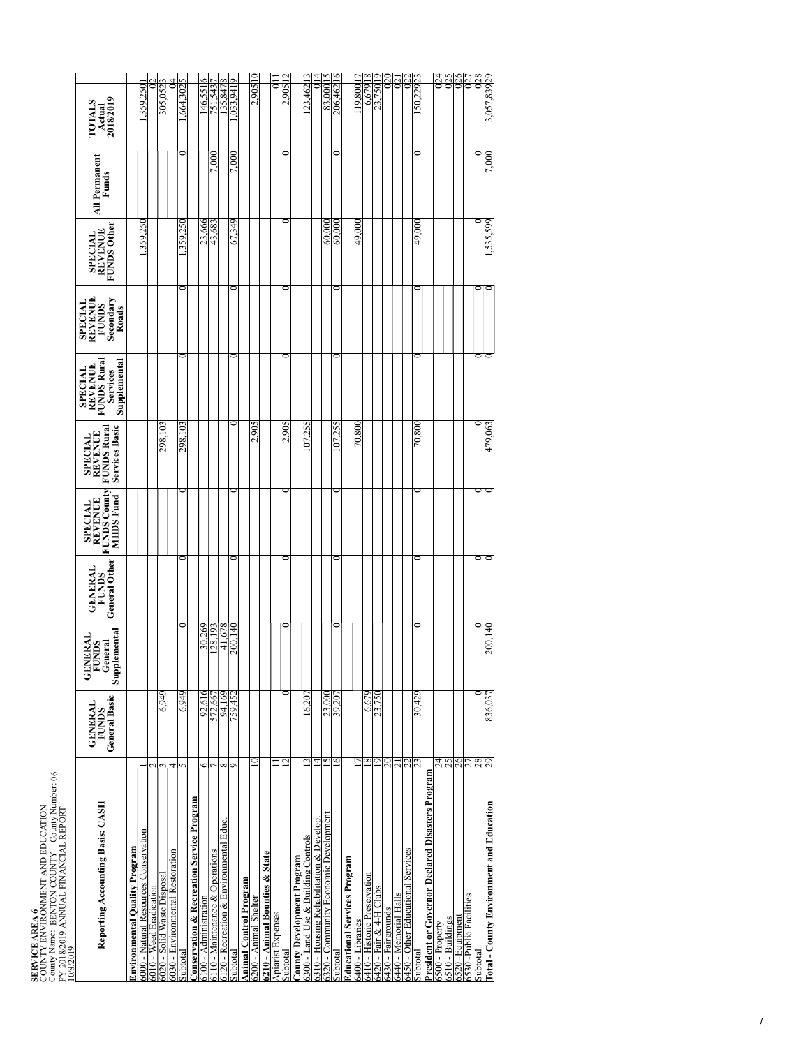| <b>SERVICE AREA 6</b> | COUNTY ENVIRONMENT AND EDUCATION | County Name: BENTON COUNTY County Number: 06 | FY 2018/2019 ANNUAL FINANCIAL REPORT |           |  |
|-----------------------|----------------------------------|----------------------------------------------|--------------------------------------|-----------|--|
|                       |                                  |                                              |                                      | 10/8/2019 |  |

| 10/8/2019                                                                       |                                                        |                                                    |                                                        |                                                                              |                                                                          |                                                                             |                                                                 |                                                        |                               |                                      |
|---------------------------------------------------------------------------------|--------------------------------------------------------|----------------------------------------------------|--------------------------------------------------------|------------------------------------------------------------------------------|--------------------------------------------------------------------------|-----------------------------------------------------------------------------|-----------------------------------------------------------------|--------------------------------------------------------|-------------------------------|--------------------------------------|
| Reporting Accounting Basis: CASH                                                | <b>General Basic</b><br><b>GENERAL</b><br><b>FUNDS</b> | Supplemental<br><b>GENERAL</b><br>FUNDS<br>General | <b>General Other</b><br><b>GENERAL</b><br><b>FUNDS</b> | <b>FUNDS County</b><br><b>MIHDS</b> Fund<br><b>REVENUE</b><br><b>SPECIAL</b> | Services Basic<br><b>FUNDS Rural</b><br><b>REVENUE</b><br><b>SPECIAL</b> | Supplemental<br><b>FUNDS Rural</b><br>REVENUE<br><b>SPECIAL</b><br>Services | REVENUE<br>Secondary<br><b>SPECIAL</b><br><b>FUNDS</b><br>Roads | <b>FUNDS Other</b><br><b>REVENUE</b><br><b>SPECIAL</b> | All Permanent<br><b>Funds</b> | Actual<br>2018/2019<br><b>FOTALS</b> |
| Environmental Quality Program                                                   |                                                        |                                                    |                                                        |                                                                              |                                                                          |                                                                             |                                                                 |                                                        |                               |                                      |
| 6000 - Natural Resources Conservation                                           |                                                        |                                                    |                                                        |                                                                              |                                                                          |                                                                             |                                                                 | 359,250                                                |                               | 359.250                              |
| 6010 - Weed Eradication                                                         |                                                        |                                                    |                                                        |                                                                              |                                                                          |                                                                             |                                                                 |                                                        |                               |                                      |
| 6020 - Solid Waste Disposal                                                     | 6,949                                                  |                                                    |                                                        |                                                                              | 298,103                                                                  |                                                                             |                                                                 |                                                        |                               | 305,052                              |
| 6030 - Environmental Restoration                                                |                                                        |                                                    |                                                        |                                                                              |                                                                          |                                                                             |                                                                 |                                                        |                               |                                      |
| Subtotal                                                                        | 6,949                                                  |                                                    |                                                        |                                                                              | 298,103                                                                  |                                                                             |                                                                 | 359.25                                                 |                               | 664,302                              |
| <b>Onservation &amp; Recreation Service Program</b>                             |                                                        |                                                    |                                                        |                                                                              |                                                                          |                                                                             |                                                                 |                                                        |                               |                                      |
| 6100 - Administration                                                           | 92,616<br>c                                            | 30,269                                             |                                                        |                                                                              |                                                                          |                                                                             |                                                                 | 23,666                                                 |                               | ٥<br>146,551                         |
| 6110 - Maintenance & Operations                                                 | 572,667                                                | 128,193                                            |                                                        |                                                                              |                                                                          |                                                                             |                                                                 | 43,683                                                 | $\approx$                     | 751.543                              |
| 6120 - Recreation & Environmental Educ.                                         | 94,169                                                 | 41,678                                             |                                                        |                                                                              |                                                                          |                                                                             |                                                                 |                                                        |                               | 35,847                               |
| Subtotal                                                                        | 759,452<br>σ                                           | 200.14                                             |                                                        |                                                                              |                                                                          |                                                                             |                                                                 | 67,349                                                 | 7.000                         | .033.941                             |
| <b>Animal Control Program</b>                                                   |                                                        |                                                    |                                                        |                                                                              |                                                                          |                                                                             |                                                                 |                                                        |                               |                                      |
| 6200 - Animal Shelter                                                           |                                                        |                                                    |                                                        |                                                                              | 2.905                                                                    |                                                                             |                                                                 |                                                        |                               | 2.905                                |
| 6210 - Animal Bounties & State                                                  |                                                        |                                                    |                                                        |                                                                              |                                                                          |                                                                             |                                                                 |                                                        |                               |                                      |
| Apiarist Expenses                                                               |                                                        |                                                    |                                                        |                                                                              |                                                                          |                                                                             |                                                                 |                                                        |                               |                                      |
| Subtotal                                                                        |                                                        |                                                    |                                                        |                                                                              | 2,905                                                                    |                                                                             |                                                                 |                                                        |                               | 2,9051                               |
| <b>County Development Program</b>                                               |                                                        |                                                    |                                                        |                                                                              |                                                                          |                                                                             |                                                                 |                                                        |                               |                                      |
| 6300 - Land Use & Building Controls<br>6310 - Housing Rehabilitation & Develop. | $16,20^{\circ}$                                        |                                                    |                                                        |                                                                              | 107.25                                                                   |                                                                             |                                                                 |                                                        |                               | 23,462                               |
|                                                                                 | 4                                                      |                                                    |                                                        |                                                                              |                                                                          |                                                                             |                                                                 |                                                        |                               |                                      |
| 320 - Community Economic Development                                            | 23,000<br>39,207<br>n                                  |                                                    |                                                        |                                                                              |                                                                          |                                                                             |                                                                 | 60.00                                                  |                               | 83,00015                             |
| Subtotal                                                                        | ∘                                                      |                                                    |                                                        |                                                                              | 107,255                                                                  |                                                                             |                                                                 | 60.00                                                  |                               | $\mathbf{e}$<br>206,462              |
| Educational Services Program                                                    |                                                        |                                                    |                                                        |                                                                              |                                                                          |                                                                             |                                                                 |                                                        |                               |                                      |
| 6400 - Libraries                                                                |                                                        |                                                    |                                                        |                                                                              | 70,800                                                                   |                                                                             |                                                                 | 49.000                                                 |                               | 19.800                               |
| 6410 - Historic Preservation                                                    | 6,679<br>8                                             |                                                    |                                                        |                                                                              |                                                                          |                                                                             |                                                                 |                                                        |                               | $^{\circ}$<br>6,6791                 |
| 6420 - Fair & 4-H Clubs                                                         | 23,750<br>σ                                            |                                                    |                                                        |                                                                              |                                                                          |                                                                             |                                                                 |                                                        |                               | 23,75019                             |
| 6430 - Fairgrounds                                                              |                                                        |                                                    |                                                        |                                                                              |                                                                          |                                                                             |                                                                 |                                                        |                               | ₫                                    |
| 5440 - Memorial Halls                                                           |                                                        |                                                    |                                                        |                                                                              |                                                                          |                                                                             |                                                                 |                                                        |                               |                                      |
| 5450 - Other Educational Services                                               | S                                                      |                                                    |                                                        |                                                                              |                                                                          |                                                                             |                                                                 |                                                        |                               | Σ                                    |
| Subtotal                                                                        | 30,429                                                 |                                                    |                                                        |                                                                              | 70,800                                                                   |                                                                             |                                                                 | 49.00                                                  |                               | 50,22923                             |
| President or Governor Declared Disasters Program                                |                                                        |                                                    |                                                        |                                                                              |                                                                          |                                                                             |                                                                 |                                                        |                               |                                      |
| 6500 - Property                                                                 | 4                                                      |                                                    |                                                        |                                                                              |                                                                          |                                                                             |                                                                 |                                                        |                               | 24                                   |
| $6510 -$ Buildings                                                              | 25                                                     |                                                    |                                                        |                                                                              |                                                                          |                                                                             |                                                                 |                                                        |                               | 25                                   |
| 6520 - Equipment                                                                | 26                                                     |                                                    |                                                        |                                                                              |                                                                          |                                                                             |                                                                 |                                                        |                               |                                      |
| 6530 -Public Facilities                                                         |                                                        |                                                    |                                                        |                                                                              |                                                                          |                                                                             |                                                                 |                                                        |                               |                                      |
| Subtotal                                                                        | 28                                                     |                                                    |                                                        |                                                                              |                                                                          |                                                                             |                                                                 |                                                        |                               | 28                                   |
| Total - County Environment and Education                                        | 836,037<br>29                                          | 200,140                                            |                                                        |                                                                              | 479.063                                                                  |                                                                             | ∊                                                               | 1,535,599                                              | 7.000                         | 3,057,83929                          |
|                                                                                 |                                                        |                                                    |                                                        |                                                                              |                                                                          |                                                                             |                                                                 |                                                        |                               |                                      |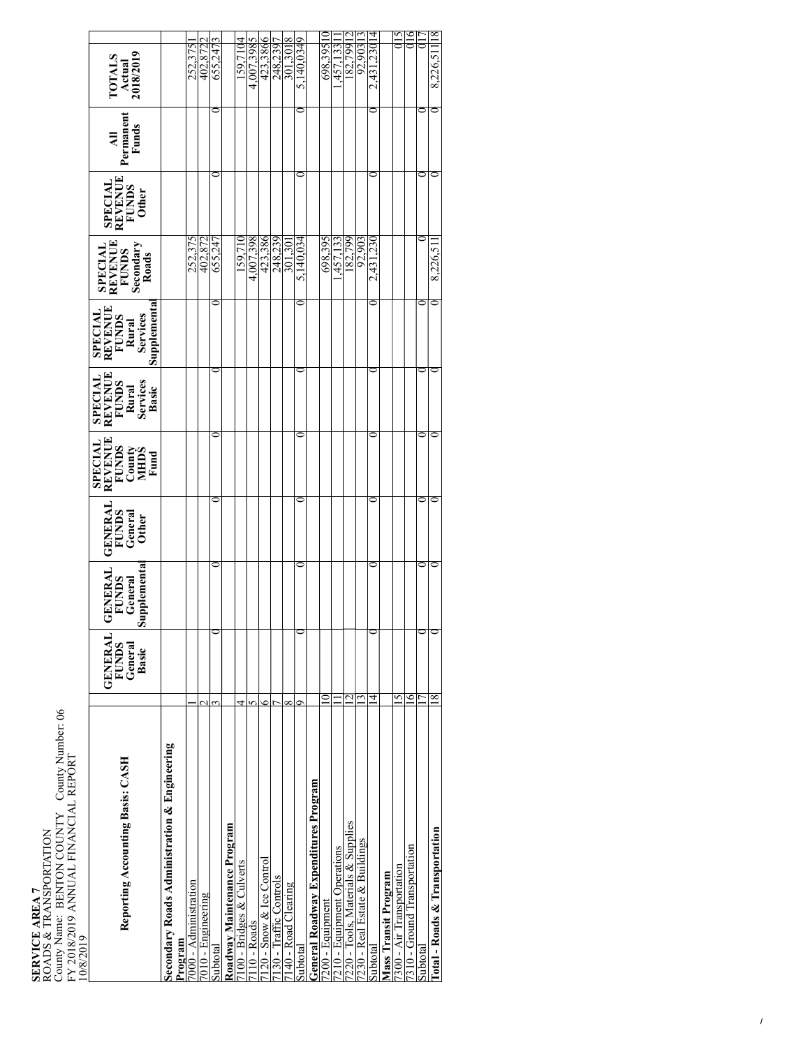| 159.7104<br>723,3866<br>9986,822<br>1,2301<br>565.869<br>4,007,398<br>92,903<br>82,799<br>252,375<br>402,872<br>[33<br>655,247<br>301,301<br>Actual<br>2018/2019<br><b>TOTALS</b><br>1.754.<br>2,431<br>Permanent<br>Funds<br>₹<br>⊂<br>SPECIAL<br>REVENUE<br>FUNDS<br>Other<br>4.007.398<br>698,395<br>252,375<br>402,872<br>423,386<br>248,239<br>5.140.034<br>182,799<br>92,903<br>159.710<br>.457.133<br>2,431,230<br>655.247<br>301.30<br><b>SPECIAL<br/>REVENUE</b><br>8,226,51<br>FUNDS<br>Secondary<br>Roads<br>Supplementa<br><b>REVENUE</b><br><b>SPECIAL</b><br>Rural<br>Services<br><b>FUNDS</b><br>REVENUE<br><b>SPECIAL</b><br><b>FUNDS</b><br>Rural<br>Services<br>Basic<br>0<br>REVENUE<br><b>SPECIAL</b><br><b>FUNDS</b><br>County<br>MHDS<br>Fund<br>0<br>GENERAI<br><b>FUNDS</b><br>General<br><b>Other</b><br>upplementa<br><b>GENERA</b><br>General<br><b>FUNDS</b><br>Ω<br><b>GENERAL</b><br><b>FUNDS</b><br>General<br>Basic<br>୨<br>$\frac{8}{2}$<br>5<br>4<br>$\scriptstyle\sim$<br>r<br>٥<br>σ<br>∝<br>Secondary Roads Administration & Engineering<br>Reporting Accounting Basis: CASH<br>General Roadway Expenditures Program<br>220 - Tools, Materials & Supplies<br>Roadway Maintenance Program<br>Total - Roads & Transportation<br>230 - Real Estate & Buildings<br>210 - Equipment Operations<br>'310 - Ground Transportation<br>120 - Snow & Ice Control<br>100 - Bridges & Culverts<br>'300 - Air Transportation<br>Mass Transit Program<br>130 - Traffic Controls<br>000 - Administration<br>140 - Road Clearing<br>7010 - Engineering<br>'200 - Equipment<br>$10 -$ Roads<br>Program<br>Subtotal<br>Subtotal<br>Subtotal<br>Subtotal | County Name: BENTON COUNTY County Number: 06<br>FY 2018/2019 ANNUAL FINANCIAL REPORT<br>10/8/2019<br>ROADS & TRANSPORTATION<br>SERVICE AREA 7 |  |  |  |  |  |               |   |
|---------------------------------------------------------------------------------------------------------------------------------------------------------------------------------------------------------------------------------------------------------------------------------------------------------------------------------------------------------------------------------------------------------------------------------------------------------------------------------------------------------------------------------------------------------------------------------------------------------------------------------------------------------------------------------------------------------------------------------------------------------------------------------------------------------------------------------------------------------------------------------------------------------------------------------------------------------------------------------------------------------------------------------------------------------------------------------------------------------------------------------------------------------------------------------------------------------------------------------------------------------------------------------------------------------------------------------------------------------------------------------------------------------------------------------------------------------------------------------------------------------------------------------------------------------------------------------------------------------------------------------------------------------------------------|-----------------------------------------------------------------------------------------------------------------------------------------------|--|--|--|--|--|---------------|---|
|                                                                                                                                                                                                                                                                                                                                                                                                                                                                                                                                                                                                                                                                                                                                                                                                                                                                                                                                                                                                                                                                                                                                                                                                                                                                                                                                                                                                                                                                                                                                                                                                                                                                           |                                                                                                                                               |  |  |  |  |  |               |   |
|                                                                                                                                                                                                                                                                                                                                                                                                                                                                                                                                                                                                                                                                                                                                                                                                                                                                                                                                                                                                                                                                                                                                                                                                                                                                                                                                                                                                                                                                                                                                                                                                                                                                           |                                                                                                                                               |  |  |  |  |  |               |   |
|                                                                                                                                                                                                                                                                                                                                                                                                                                                                                                                                                                                                                                                                                                                                                                                                                                                                                                                                                                                                                                                                                                                                                                                                                                                                                                                                                                                                                                                                                                                                                                                                                                                                           |                                                                                                                                               |  |  |  |  |  |               |   |
|                                                                                                                                                                                                                                                                                                                                                                                                                                                                                                                                                                                                                                                                                                                                                                                                                                                                                                                                                                                                                                                                                                                                                                                                                                                                                                                                                                                                                                                                                                                                                                                                                                                                           |                                                                                                                                               |  |  |  |  |  |               |   |
|                                                                                                                                                                                                                                                                                                                                                                                                                                                                                                                                                                                                                                                                                                                                                                                                                                                                                                                                                                                                                                                                                                                                                                                                                                                                                                                                                                                                                                                                                                                                                                                                                                                                           |                                                                                                                                               |  |  |  |  |  |               |   |
|                                                                                                                                                                                                                                                                                                                                                                                                                                                                                                                                                                                                                                                                                                                                                                                                                                                                                                                                                                                                                                                                                                                                                                                                                                                                                                                                                                                                                                                                                                                                                                                                                                                                           |                                                                                                                                               |  |  |  |  |  |               |   |
|                                                                                                                                                                                                                                                                                                                                                                                                                                                                                                                                                                                                                                                                                                                                                                                                                                                                                                                                                                                                                                                                                                                                                                                                                                                                                                                                                                                                                                                                                                                                                                                                                                                                           |                                                                                                                                               |  |  |  |  |  |               |   |
|                                                                                                                                                                                                                                                                                                                                                                                                                                                                                                                                                                                                                                                                                                                                                                                                                                                                                                                                                                                                                                                                                                                                                                                                                                                                                                                                                                                                                                                                                                                                                                                                                                                                           |                                                                                                                                               |  |  |  |  |  |               |   |
|                                                                                                                                                                                                                                                                                                                                                                                                                                                                                                                                                                                                                                                                                                                                                                                                                                                                                                                                                                                                                                                                                                                                                                                                                                                                                                                                                                                                                                                                                                                                                                                                                                                                           |                                                                                                                                               |  |  |  |  |  |               |   |
|                                                                                                                                                                                                                                                                                                                                                                                                                                                                                                                                                                                                                                                                                                                                                                                                                                                                                                                                                                                                                                                                                                                                                                                                                                                                                                                                                                                                                                                                                                                                                                                                                                                                           |                                                                                                                                               |  |  |  |  |  |               |   |
|                                                                                                                                                                                                                                                                                                                                                                                                                                                                                                                                                                                                                                                                                                                                                                                                                                                                                                                                                                                                                                                                                                                                                                                                                                                                                                                                                                                                                                                                                                                                                                                                                                                                           |                                                                                                                                               |  |  |  |  |  |               |   |
|                                                                                                                                                                                                                                                                                                                                                                                                                                                                                                                                                                                                                                                                                                                                                                                                                                                                                                                                                                                                                                                                                                                                                                                                                                                                                                                                                                                                                                                                                                                                                                                                                                                                           |                                                                                                                                               |  |  |  |  |  | 5.140.0349    |   |
|                                                                                                                                                                                                                                                                                                                                                                                                                                                                                                                                                                                                                                                                                                                                                                                                                                                                                                                                                                                                                                                                                                                                                                                                                                                                                                                                                                                                                                                                                                                                                                                                                                                                           |                                                                                                                                               |  |  |  |  |  |               |   |
|                                                                                                                                                                                                                                                                                                                                                                                                                                                                                                                                                                                                                                                                                                                                                                                                                                                                                                                                                                                                                                                                                                                                                                                                                                                                                                                                                                                                                                                                                                                                                                                                                                                                           |                                                                                                                                               |  |  |  |  |  |               |   |
|                                                                                                                                                                                                                                                                                                                                                                                                                                                                                                                                                                                                                                                                                                                                                                                                                                                                                                                                                                                                                                                                                                                                                                                                                                                                                                                                                                                                                                                                                                                                                                                                                                                                           |                                                                                                                                               |  |  |  |  |  |               |   |
|                                                                                                                                                                                                                                                                                                                                                                                                                                                                                                                                                                                                                                                                                                                                                                                                                                                                                                                                                                                                                                                                                                                                                                                                                                                                                                                                                                                                                                                                                                                                                                                                                                                                           |                                                                                                                                               |  |  |  |  |  |               |   |
|                                                                                                                                                                                                                                                                                                                                                                                                                                                                                                                                                                                                                                                                                                                                                                                                                                                                                                                                                                                                                                                                                                                                                                                                                                                                                                                                                                                                                                                                                                                                                                                                                                                                           |                                                                                                                                               |  |  |  |  |  |               |   |
|                                                                                                                                                                                                                                                                                                                                                                                                                                                                                                                                                                                                                                                                                                                                                                                                                                                                                                                                                                                                                                                                                                                                                                                                                                                                                                                                                                                                                                                                                                                                                                                                                                                                           |                                                                                                                                               |  |  |  |  |  | 4             |   |
|                                                                                                                                                                                                                                                                                                                                                                                                                                                                                                                                                                                                                                                                                                                                                                                                                                                                                                                                                                                                                                                                                                                                                                                                                                                                                                                                                                                                                                                                                                                                                                                                                                                                           |                                                                                                                                               |  |  |  |  |  |               |   |
|                                                                                                                                                                                                                                                                                                                                                                                                                                                                                                                                                                                                                                                                                                                                                                                                                                                                                                                                                                                                                                                                                                                                                                                                                                                                                                                                                                                                                                                                                                                                                                                                                                                                           |                                                                                                                                               |  |  |  |  |  |               | Ģ |
|                                                                                                                                                                                                                                                                                                                                                                                                                                                                                                                                                                                                                                                                                                                                                                                                                                                                                                                                                                                                                                                                                                                                                                                                                                                                                                                                                                                                                                                                                                                                                                                                                                                                           |                                                                                                                                               |  |  |  |  |  | $\frac{1}{2}$ |   |
|                                                                                                                                                                                                                                                                                                                                                                                                                                                                                                                                                                                                                                                                                                                                                                                                                                                                                                                                                                                                                                                                                                                                                                                                                                                                                                                                                                                                                                                                                                                                                                                                                                                                           |                                                                                                                                               |  |  |  |  |  |               |   |
|                                                                                                                                                                                                                                                                                                                                                                                                                                                                                                                                                                                                                                                                                                                                                                                                                                                                                                                                                                                                                                                                                                                                                                                                                                                                                                                                                                                                                                                                                                                                                                                                                                                                           |                                                                                                                                               |  |  |  |  |  | 8,226,511 18  |   |
|                                                                                                                                                                                                                                                                                                                                                                                                                                                                                                                                                                                                                                                                                                                                                                                                                                                                                                                                                                                                                                                                                                                                                                                                                                                                                                                                                                                                                                                                                                                                                                                                                                                                           |                                                                                                                                               |  |  |  |  |  |               |   |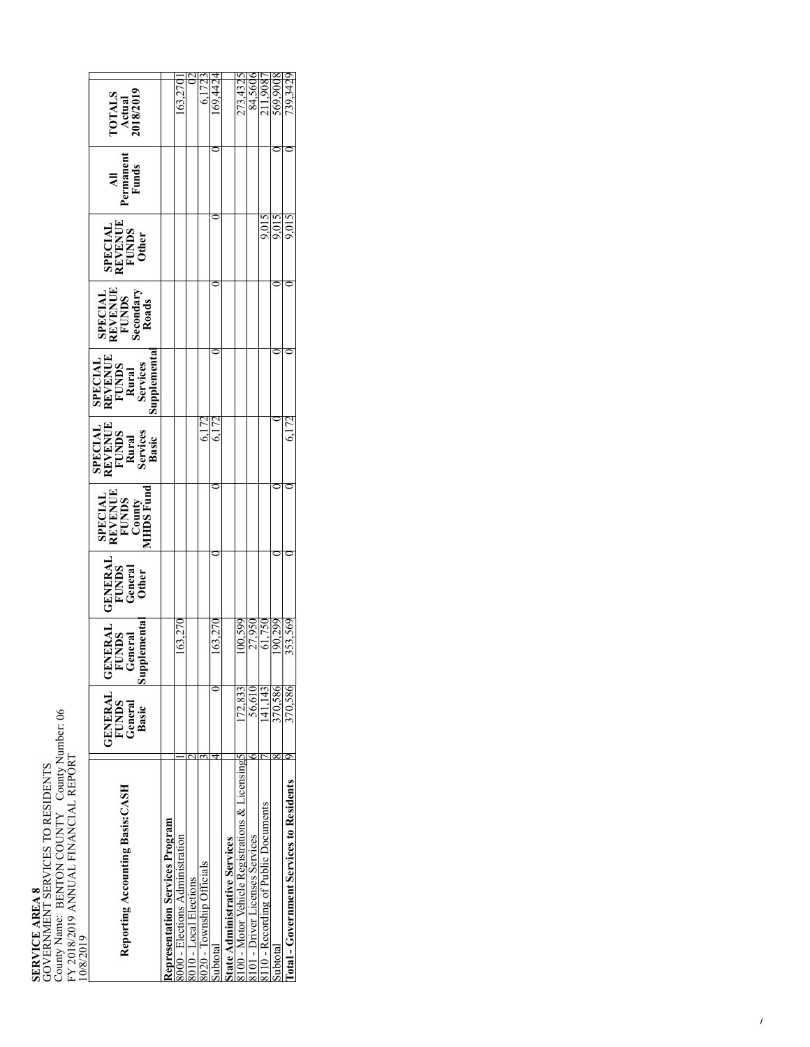**SERVICE AREA 8<br>GOVERNMENT SE<br>County Name: BEN<br>FY 2018/2019 ANN<br>10/8/2019** GOVERNMENT SERVICES TO RESIDENTS County Name: BENTON COUNTY County Number: 06 FY 2018/2019 ANNUAL FINANCIAL REPORT<br>10/8/2019

 $\mathsf{r}$ 

| <b>FOTALS</b><br>Actual<br>918/2019                                               |                                 |                                |                       |                          |         |                               | 273,4321                                       | 84,560                         | 11.908                              | 569.90  | 739.342                                  |
|-----------------------------------------------------------------------------------|---------------------------------|--------------------------------|-----------------------|--------------------------|---------|-------------------------------|------------------------------------------------|--------------------------------|-------------------------------------|---------|------------------------------------------|
| All<br>Permanent<br>Funds                                                         |                                 |                                |                       |                          |         |                               |                                                |                                |                                     |         |                                          |
| <b>SPECIAL<br/>REVENUE<br/>FUNDS<br/>Other</b>                                    |                                 |                                |                       |                          |         |                               |                                                |                                |                                     | 9.015   | 9.015                                    |
| SPECIAL<br>REVENUE<br>FUNDS<br>Secondary<br>Roads                                 |                                 |                                |                       |                          |         |                               |                                                |                                |                                     |         |                                          |
| SPECIAL<br>REVENUE<br>FUNDS<br>Rural<br>Services<br>Services                      |                                 |                                |                       |                          |         |                               |                                                |                                |                                     |         |                                          |
| <b>SPECIAL<br/>REVENUE<br/>FUNDS<br/>Rural<br/>Services<br/>Services</b><br>Basic |                                 |                                |                       |                          |         |                               |                                                |                                |                                     |         | 6.172                                    |
| SPECIAL<br>REVENUE<br>FUNDS<br>County<br>AHDS Fund                                |                                 |                                |                       |                          |         |                               |                                                |                                |                                     |         |                                          |
| <b>GENERAL</b><br>FUNDS<br>General<br>Other                                       |                                 |                                |                       |                          |         |                               |                                                |                                |                                     |         |                                          |
| lementa<br><b>GENERAL</b><br>FUNDS<br>General<br>eneral<br>dding                  |                                 | 63.27                          |                       |                          | 163.27  |                               | 00,599                                         | 27,950                         | 61,750                              | 90,299  | 353,569                                  |
| <b>GENERAL</b><br><b>FUNDS</b><br>General<br>Basic                                |                                 |                                |                       |                          |         |                               | 72.833                                         | 56.610                         | 141.143                             | 370.586 | 370,586                                  |
| Reporting Accounting Basis: CASH                                                  | depresentation Services Program | 000 - Elections Administration | 010 - Local Elections | 020 - Township Officials | ubtotal | State Administrative Services | 100 - Motor Vehicle Registrations & Licensing5 | 101 - Driver Licenses Services | 110 - Recording of Public Documents | subtota | lotal - Government Services to Residents |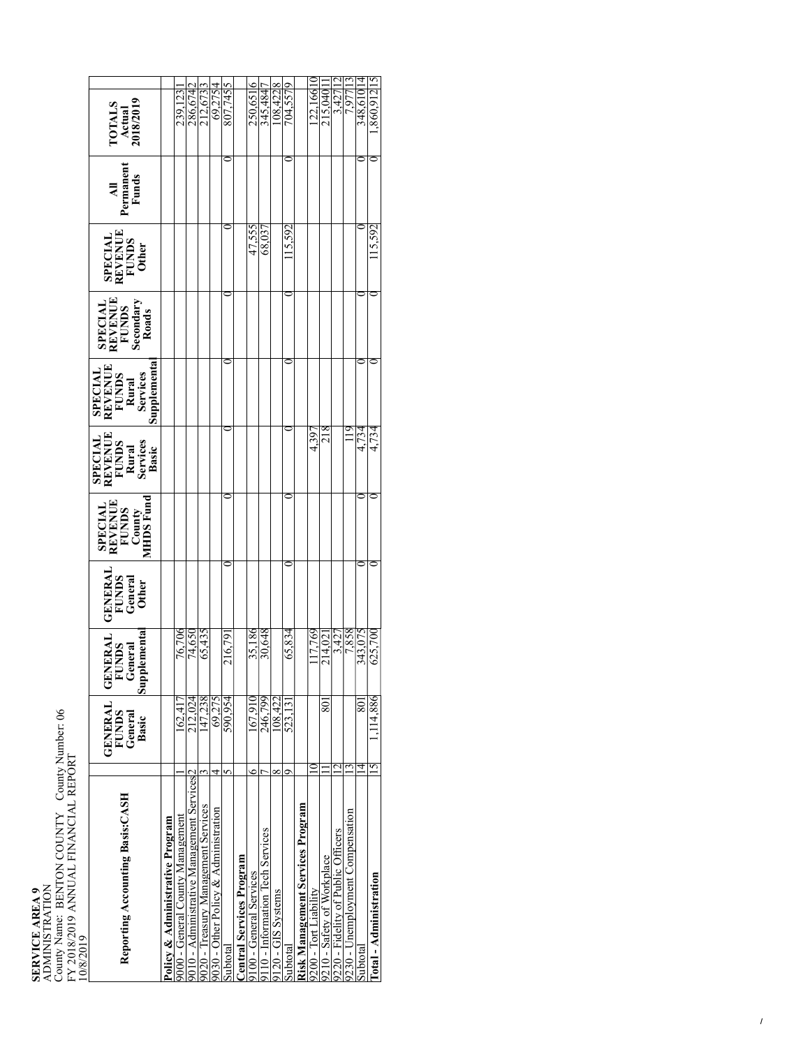| <b>ADMINISTRATION</b><br><b>SERVICE AREA 9</b> | County Name: BENTON COUNTY County Number: 06 | FY 2018/2019 ANNUAL FINANCIAL REPORT | 10/8/2019 |  |
|------------------------------------------------|----------------------------------------------|--------------------------------------|-----------|--|

| Reporting Accounting Basis: CASH                        |   | GENERAI<br><b>FUNDS</b><br>General<br>Basic | Supplementa<br>NERAI<br><b>UNDS</b><br>eneral<br>ΞĞ<br>5 | <b>GENERAL</b><br>FUNDS<br>General<br>Other | SPECIAL<br>REVENUE<br>FUNDS<br>County<br>County<br>MHDS Fund | SPECIAL<br>REVENUE<br>FUNDS<br>Forvices<br>Services<br>Basic | SPECIAL<br>REVENUE<br>FUNDS<br>FUNDS<br>Rural<br>Services<br>Supplemental | <b>SPECIAL<br/>REVENUE</b><br>FUNDS<br>Secondary<br>Secondary | SPECIAL<br>REVENUE<br>FUNDS<br>Other | All<br>  Permanent<br>  Funds | <b>TOTALS</b><br>Actual<br>2018/2019 |
|---------------------------------------------------------|---|---------------------------------------------|----------------------------------------------------------|---------------------------------------------|--------------------------------------------------------------|--------------------------------------------------------------|---------------------------------------------------------------------------|---------------------------------------------------------------|--------------------------------------|-------------------------------|--------------------------------------|
| Policy & Administrative Program                         |   |                                             |                                                          |                                             |                                                              |                                                              |                                                                           |                                                               |                                      |                               |                                      |
| 000 - General County Management                         |   | 62.417                                      | 76,706                                                   |                                             |                                                              |                                                              |                                                                           |                                                               |                                      |                               | 239,123                              |
| 9010 - Administrative Management Services <sup>12</sup> |   | 212.024                                     | 74,650                                                   |                                             |                                                              |                                                              |                                                                           |                                                               |                                      |                               | 286,6742                             |
| 9020 - Treasury Management Services                     |   | 147,238                                     | 65,435                                                   |                                             |                                                              |                                                              |                                                                           |                                                               |                                      |                               | 212,6733                             |
| 9030 - Other Policy & Administration                    |   | 69.275                                      |                                                          |                                             |                                                              |                                                              |                                                                           |                                                               |                                      |                               | 69,2754                              |
|                                                         |   | 590,954                                     | 216,79                                                   |                                             |                                                              |                                                              |                                                                           |                                                               |                                      |                               | 807.7455                             |
| Central Services Program                                |   |                                             |                                                          |                                             |                                                              |                                                              |                                                                           |                                                               |                                      |                               |                                      |
|                                                         |   | 167.910                                     | 35,186                                                   |                                             |                                                              |                                                              |                                                                           |                                                               | 47.555                               |                               | 250,651                              |
| 110 - Information Tech Services                         |   | 246.799                                     | 30,648                                                   |                                             |                                                              |                                                              |                                                                           |                                                               | 68,037                               |                               | 345,4847                             |
| ∞                                                       |   | 108.422                                     |                                                          |                                             |                                                              |                                                              |                                                                           |                                                               |                                      |                               | $-08,4228$                           |
| d                                                       |   | 523.13                                      | 65,834                                                   |                                             |                                                              |                                                              |                                                                           |                                                               | 115,592                              |                               | 704,5579                             |
| Risk Management Services Program                        |   |                                             |                                                          |                                             |                                                              |                                                              |                                                                           |                                                               |                                      |                               |                                      |
|                                                         |   |                                             | 117.769                                                  |                                             |                                                              | 4.397                                                        |                                                                           |                                                               |                                      |                               | 0.22.16610                           |
| 9210 - Safety of Workplace                              |   | $80^\circ$                                  | 214,02                                                   |                                             |                                                              | 218                                                          |                                                                           |                                                               |                                      |                               | 215.040                              |
| 9220 - Fidelity of Public Officers                      |   |                                             | 3,427                                                    |                                             |                                                              |                                                              |                                                                           |                                                               |                                      |                               | 3,427 12                             |
| 0230 - Unemployment Compensation                        |   |                                             | 7,858                                                    |                                             |                                                              |                                                              |                                                                           |                                                               |                                      |                               | 1.977                                |
|                                                         |   | 80]                                         | 343,075                                                  |                                             |                                                              | 4,734                                                        |                                                                           |                                                               |                                      |                               | 348.61014                            |
|                                                         | ŋ | 1.114.886                                   | 625,700                                                  |                                             |                                                              | 4,734                                                        |                                                                           |                                                               | 15.592                               |                               | .860.912115                          |